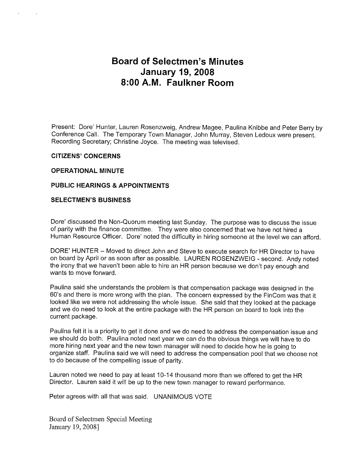# Board of Selectmen's Minutes January 19, 2008 8:00 A.M. Faulkner Room

Present: Dore' Hunter, Lauren Rosenzweig, Andrew Magee, Paulina Knibbe and Peter Berry by Conference Call. The Temporary Town Manager, John Murray, Steven Ledoux were present. Recording Secretary; Christine Joyce. The meeting was televised.

#### CITIZENS' CONCERNS

### OPERATIONAL MINUTE

### PUBLIC HEARINGS & APPOINTMENTS

### SELECTMEN'S BUSINESS

Dore' discussed the Non-Quorum meeting last Sunday. The purpose was to discuss the issue of parity with the finance committee. They were also concerned that we have not hired a Human Resource Officer. Dore' noted the difficulty in hiring someone at the level we can afford.

DORE' HUNTER — Moved to direct John and Steve to execute search for HR Director to have on board by April or as soon after as possible. LAUREN ROSENZWEIG - second. Andy noted the irony that we haven't been able to hire an HR person because we don't pay enough and wants to move forward.

Paulina said she understands the problem is that compensation package was designed in the 60's and there is more wrong with the plan. The concern expressed by the FinCom was that it looked like we were not addressing the whole issue. She said that they looked at the package and we do need to look at the entire package with the HR person on board to look into the current package.

Paulina felt it is a priority to get it done and we do need to address the compensation issue and we should do both. Paulina noted next year we can do the obvious things we will have to do more hiring next year and the new town manager will need to decide how he is going to organize staff. Paulina said we will need to address the compensation pool that we choose not to do because of the compelling issue of parity.

Lauren noted we need to pay at least 10-14 thousand more than we offered to get the HR Director. Lauren said it will be up to the new town manager to reward performance.

Peter agrees with all that was said. UNANIMOUS VOTE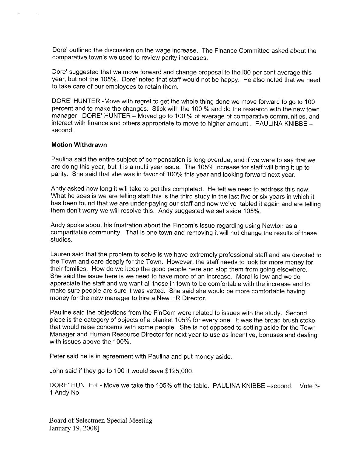Dore' outlined the discussion on the wage increase. The Finance Committee asked about the comparative town's we used to review parity increases.

Dore' suggested that we move forward and change proposal to the <sup>100</sup> per cent average this year, but not the 105%. Dore' noted that staff would not be happy. He also noted that we need to take care of our employees to retain them.

DORE' HUNTER -Move with regret to get the whole thing done we move forward to go to 100 percent and to make the changes. Stick with the 100 % and do the research with the new town manager DORE' HUNTER — Moved go to 100 % of average of comparative communities, and interact with finance and others appropriate to move to higher amount. PAULINA KNIBBE second.

### Motion Withdrawn

Paulina said the entire subject of compensation is long overdue, and if we were to say that we are doing this year, but it is a multi year issue. The 105% increase for staff will bring it up to parity. She said that she was in favor of 100% this year and looking forward next year.

Andy asked how long it will take to get this completed. He felt we need to address this now. What he sees is we are telling staff this is the third study in the last five or six years in which it has been found that we are under-paying our staff and now we've tabled it again and are telling them don't worry we will resolve this. Andy suggested we set aside 105%.

Andy spoke about his frustration about the Fincom's issue regarding using Newton as a comparitable community. That is one town and removing it will not change the results of these studies.

Lauren said that the problem to solve is we have extremely professional staff and are devoted to the Town and care deeply for the Town. However, the staff needs to look for more money for their families. How do we keep the good people here and stop them from going elsewhere. She said the issue here is we need to have more of an increase. Moral is low and we do appreciate the staff and we want all those in town to be comfortable with the increase and to make sure people are sure it was vetted. She said she would be more comfortable having money for the new manager to hire a New HR Director.

Pauline said the objections from the FinCom were related to issues with the study. Second piece is the category of objects of a blanket 105% for every one. It was the broad brush stoke that would raise concerns with some people. She is not opposed to setting aside for the Town Manager and Human Resource Director for next year to use as incentive, bonuses and dealing with issues above the 100%.

Peter said he is in agreement with Paulina and put money aside.

John said if they go to 100 it would save \$125,000.

DORE' HUNTER - Move we take the 105% off the table. PAULINA KNIBBE —second. Vote 3- <sup>1</sup> Andy No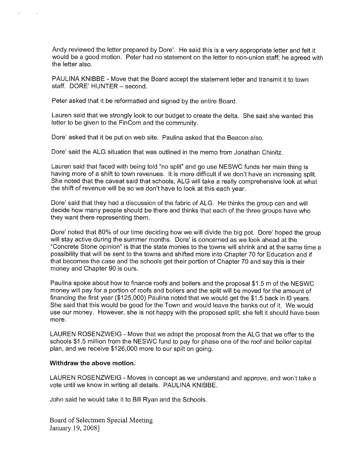Andy reviewed the letter prepared by Dore'. He said this is a very appropriate letter and felt it would be a good motion. Peter had no statement on the letter to non-union staff; he agreed with the letter also.

PAULINA KNIBBE - Move that the Board accept the statement letter and transmit it to town staff. DORE' HUNTER — second.

Peter asked that it be reformatted and signed by the entire Board.

Lauren said that we strongly look to our budget to create the delta. She said she wanted this letter to be given to the FinCom and the community.

Dore' asked that it be put on web site. Paulina asked that the Beacon also.

Dore' said the ALG situation that was outlined in the memo from Jonathan Chinitz.

Lauren said that faced with being told "no split" and go use NESWC funds her main thing is having more of a shift to town revenues. It is more difficult if we don't have an increasing split. She noted that the caveat said that schools, ALG will take a really comprehensive look at what the shift of revenue will be so we don't have to look at this each year.

Dore' said that they had a discussion of the fabric of ALG. He thinks the group can and will decide how many people should be there and thinks that each of the three groups have who they want there representing them.

Dore' noted that 80% of our time deciding how we will divide the big pot. Dore' hoped the group will stay active during the summer months. Dore' is concerned as we look ahead at the "Concrete Stone opinion" is that the state monies to the towns will shrink and at the same time a possibility that will be sent to the towns and shifted more into Chapter 70 for Education and if that becomes the case and the schools get their portion of Chapter 70 and say this is their money and Chapter 90 is ours.

Paulina spoke about how to finance roofs and boilers and the proposal \$1.5 m of the NESWC money will pay for a portion of roofs and boilers and the split will be moved for the amount of financing the first year (\$125,000) Paulina noted that we would get the \$1.5 back in <sup>10</sup> years. She said that this would be good for the Town and would leave the banks out of it. We would use our money. However, she is not happy with the proposed split; she felt it should have been more.

LAUREN ROSENZWEIG - Move that we adopt the proposal from the ALG that we offer to the schools \$1 .5 million from the NESWC fund to pay for phase one of the roof and boiler capital plan, and we receive \$126,000 more to our spilt on going.

#### Withdraw the above motion.

LAUREN ROSENZWEIG - Moves in concept as we understand and approve, and won't take a vote until we know in writing all details. PAULINA KNIBBE.

John said he would take it to Bill Ryan and the Schools.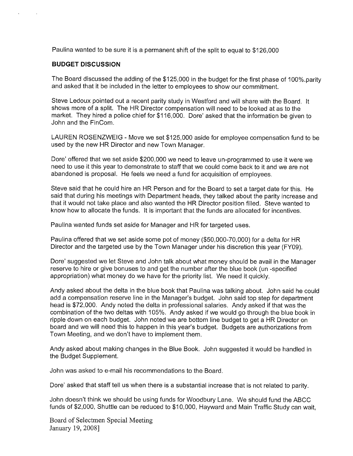Paulina wanted to be sure it is a permanent shift of the split to equal to \$126,000

### BUDGET DISCUSSION

The Board discussed the adding of the \$125,000 in the budget for the first phase of <sup>1</sup> 00%.parity and asked that it be included in the letter to employees to show our commitment.

Steve Ledoux pointed out a recent parity study in Westford and will share with the Board. It shows more of a split. The HR Director compensation will need to be looked at as to the market. They hired a police chief for \$116,000. Dore' asked that the information be given to John and the FinCom.

LAUREN ROSENZWEIG - Move we set \$125,000 aside for employee compensation fund to be used by the new HR Director and new Town Manager.

Dore' offered that we set aside \$200,000 we need to leave un-programmed to use it were we need to use it this year to demonstrate to staff that we could come back to it and we are not abandoned is proposal. He feels we need a fund for acquisition of employees.

Steve said that he could hire an HR Person and for the Board to set a target date for this. He said that during his meetings with Department heads, they talked about the parity increase and that it would not take place and also wanted the HR Director position filled. Steve wanted to know how to allocate the funds. It is important that the funds are allocated for incentives.

Paulina wanted funds set aside for Manager and HR for targeted uses.

Paulina offered that we set aside some pot of money (\$50,000-70,000) for a delta for HR Director and the targeted use by the Town Manager under his discretion this year (FY09).

Dore' suggested we let Steve and John talk about what money should be avail in the Manager reserve to hire or give bonuses to and get the number after the blue book (un -specified appropriation) what money do we have for the priority list. We need it quickly.

Andy asked about the delta in the blue book that Paulina was talking about. John said he could add a compensation reserve line in the Manager's budget. John said top step for department head is \$72,000. Andy noted the delta in professional salaries. Andy asked if that was the combination of the two deltas with 105%. Andy asked if we would go through the blue book in ripple down on each budget. John noted we are bottom line budget to get a HR Director on board and we will need this to happen in this year's budget. Budgets are authorizations from Town Meeting, and we don't have to implement them.

Andy asked about making changes in the Blue Book. John suggested it would be handled in the Budget Supplement.

John was asked to e-mail his recommendations to the Board.

Dore' asked that staff tell us when there is a substantial increase that is not related to parity.

John doesn't think we should be using funds for Woodbury Lane. We should fund the ABCC funds of \$2,000, Shuttle can be reduced to \$10,000, Hayward and Main Traffic Study can wait,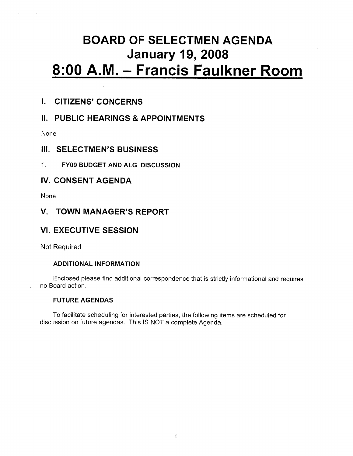# BOARD OF SELECTMEN AGENDA January 19, <sup>2008</sup> 8:00 A.M. — Francis Faulkner Room

# I. CITIZENS' CONCERNS

# II. PUBLIC HEARINGS & APPOINTMENTS

None

## III. SELECTMEN'S BUSINESS

1. FY09 BUDGET AND ALG DISCUSSION

## IV. CONSENT AGENDA

None

### V. TOWN MANAGER'S REPORT

# VI. EXECUTIVE SESSION

Not Required

### ADDITIONAL INFORMATION

Enclosed please find additional correspondence that is strictly informational and requires no Board action.

### FUTURE AGENDAS

To facilitate scheduling for interested parties, the following items are scheduled for discussion on future agendas. This IS NOT a complete Agenda.